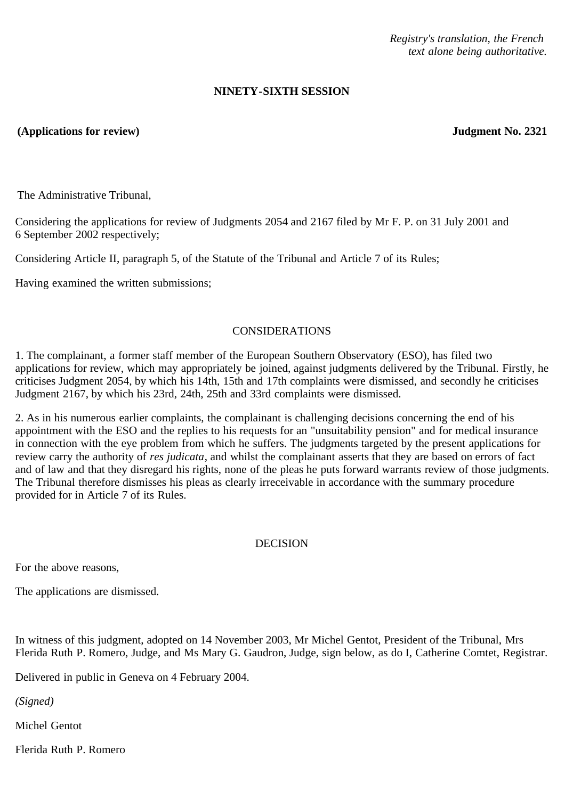*Registry's translation, the French text alone being authoritative.*

## **NINETY-SIXTH SESSION**

## **(Applications for review) Judgment No. 2321**

The Administrative Tribunal,

Considering the applications for review of Judgments 2054 and 2167 filed by Mr F. P. on 31 July 2001 and 6 September 2002 respectively;

Considering Article II, paragraph 5, of the Statute of the Tribunal and Article 7 of its Rules;

Having examined the written submissions;

## CONSIDERATIONS

1. The complainant, a former staff member of the European Southern Observatory (ESO), has filed two applications for review, which may appropriately be joined, against judgments delivered by the Tribunal. Firstly, he criticises Judgment 2054, by which his 14th, 15th and 17th complaints were dismissed, and secondly he criticises Judgment 2167, by which his 23rd, 24th, 25th and 33rd complaints were dismissed.

2. As in his numerous earlier complaints, the complainant is challenging decisions concerning the end of his appointment with the ESO and the replies to his requests for an "unsuitability pension" and for medical insurance in connection with the eye problem from which he suffers. The judgments targeted by the present applications for review carry the authority of *res judicata*, and whilst the complainant asserts that they are based on errors of fact and of law and that they disregard his rights, none of the pleas he puts forward warrants review of those judgments. The Tribunal therefore dismisses his pleas as clearly irreceivable in accordance with the summary procedure provided for in Article 7 of its Rules.

## DECISION

For the above reasons,

The applications are dismissed.

In witness of this judgment, adopted on 14 November 2003, Mr Michel Gentot, President of the Tribunal, Mrs Flerida Ruth P. Romero, Judge, and Ms Mary G. Gaudron, Judge, sign below, as do I, Catherine Comtet, Registrar.

Delivered in public in Geneva on 4 February 2004.

*(Signed)*

Michel Gentot

Flerida Ruth P. Romero